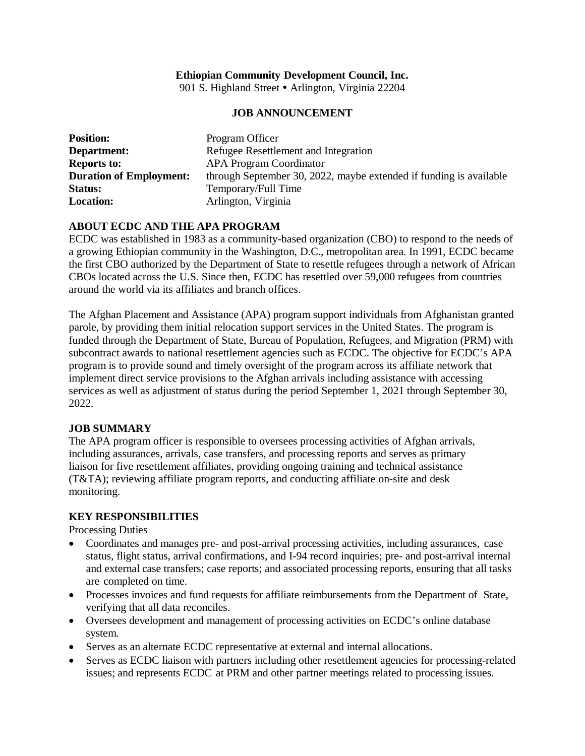## **Ethiopian Community Development Council, Inc.**

901 S. Highland Street • Arlington, Virginia 22204

## **JOB ANNOUNCEMENT**

| <b>Position:</b>               | Program Officer                                                    |
|--------------------------------|--------------------------------------------------------------------|
| Department:                    | Refugee Resettlement and Integration                               |
| <b>Reports to:</b>             | <b>APA Program Coordinator</b>                                     |
| <b>Duration of Employment:</b> | through September 30, 2022, maybe extended if funding is available |
| Status:                        | Temporary/Full Time                                                |
| <b>Location:</b>               | Arlington, Virginia                                                |

## **ABOUT ECDC AND THE APA PROGRAM**

ECDC was established in 1983 as a community-based organization (CBO) to respond to the needs of a growing Ethiopian community in the Washington, D.C., metropolitan area. In 1991, ECDC became the first CBO authorized by the Department of State to resettle refugees through a network of African CBOs located across the U.S. Since then, ECDC has resettled over 59,000 refugees from countries around the world via its affiliates and branch offices.

The Afghan Placement and Assistance (APA) program support individuals from Afghanistan granted parole, by providing them initial relocation support services in the United States. The program is funded through the Department of State, Bureau of Population, Refugees, and Migration (PRM) with subcontract awards to national resettlement agencies such as ECDC. The objective for ECDC's APA program is to provide sound and timely oversight of the program across its affiliate network that implement direct service provisions to the Afghan arrivals including assistance with accessing services as well as adjustment of status during the period September 1, 2021 through September 30, 2022.

#### **JOB SUMMARY**

The APA program officer is responsible to oversees processing activities of Afghan arrivals, including assurances, arrivals, case transfers, and processing reports and serves as primary liaison for five resettlement affiliates, providing ongoing training and technical assistance (T&TA); reviewing affiliate program reports, and conducting affiliate on-site and desk monitoring.

#### **KEY RESPONSIBILITIES**

Processing Duties

- Coordinates and manages pre- and post-arrival processing activities, including assurances, case status, flight status, arrival confirmations, and I-94 record inquiries; pre- and post-arrival internal and external case transfers; case reports; and associated processing reports, ensuring that all tasks are completed on time.
- Processes invoices and fund requests for affiliate reimbursements from the Department of State, verifying that all data reconciles.
- Oversees development and management of processing activities on ECDC's online database system.
- Serves as an alternate ECDC representative at external and internal allocations.
- Serves as ECDC liaison with partners including other resettlement agencies for processing-related issues; and represents ECDC at PRM and other partner meetings related to processing issues.